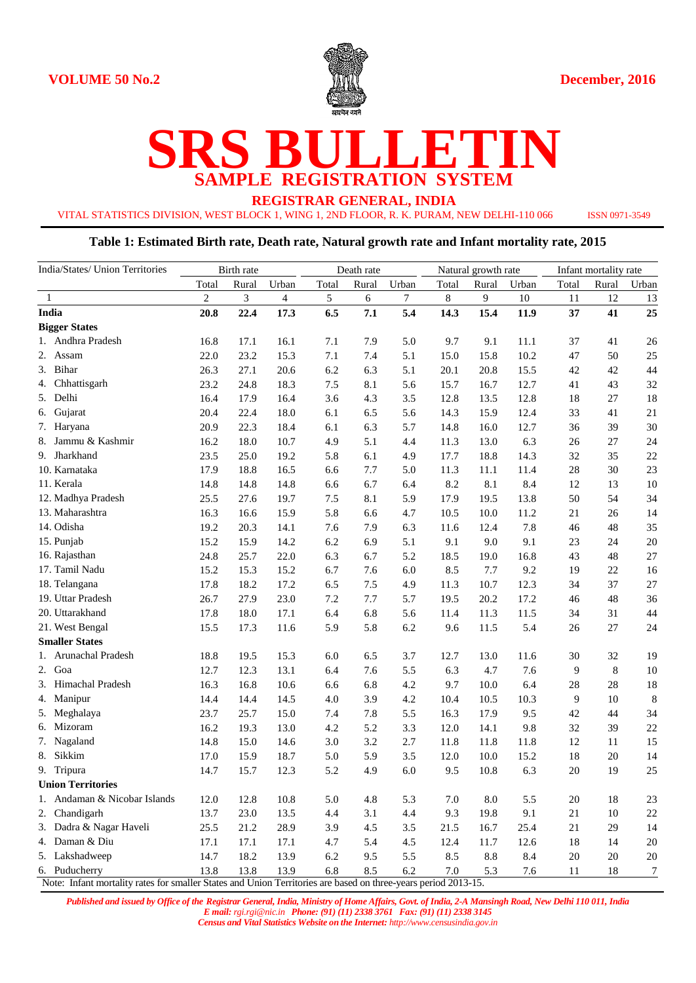

# **SRS BULLETIN SAMPLE REGISTRATION SYSTEM**

**REGISTRAR GENERAL, INDIA**

VITAL STATISTICS DIVISION, WEST BLOCK 1, WING 1, 2ND FLOOR, R. K. PURAM, NEW DELHI-110 066 ISSN 0971-3549

#### **Table 1: Estimated Birth rate, Death rate, Natural growth rate and Infant mortality rate, 2015**

| India/States/ Union Territories                                                                                |                | Birth rate |       |       | Death rate |       |       | Natural growth rate |       |       | Infant mortality rate |             |  |
|----------------------------------------------------------------------------------------------------------------|----------------|------------|-------|-------|------------|-------|-------|---------------------|-------|-------|-----------------------|-------------|--|
|                                                                                                                | Total          | Rural      | Urban | Total | Rural      | Urban | Total | Rural               | Urban | Total | Rural                 | Urban       |  |
| 1                                                                                                              | $\overline{c}$ | 3          | 4     | 5     | 6          | 7     | 8     | 9                   | 10    | 11    | 12                    | 13          |  |
| India                                                                                                          | 20.8           | 22.4       | 17.3  | 6.5   | 7.1        | 5.4   | 14.3  | 15.4                | 11.9  | 37    | 41                    | 25          |  |
| <b>Bigger States</b>                                                                                           |                |            |       |       |            |       |       |                     |       |       |                       |             |  |
| 1. Andhra Pradesh                                                                                              | 16.8           | 17.1       | 16.1  | 7.1   | 7.9        | 5.0   | 9.7   | 9.1                 | 11.1  | 37    | 41                    | 26          |  |
| 2. Assam                                                                                                       | 22.0           | 23.2       | 15.3  | 7.1   | 7.4        | 5.1   | 15.0  | 15.8                | 10.2  | 47    | 50                    | 25          |  |
| Bihar<br>3.                                                                                                    | 26.3           | 27.1       | 20.6  | 6.2   | 6.3        | 5.1   | 20.1  | 20.8                | 15.5  | 42    | 42                    | 44          |  |
| 4. Chhattisgarh                                                                                                | 23.2           | 24.8       | 18.3  | 7.5   | 8.1        | 5.6   | 15.7  | 16.7                | 12.7  | 41    | 43                    | 32          |  |
| 5. Delhi                                                                                                       | 16.4           | 17.9       | 16.4  | 3.6   | 4.3        | 3.5   | 12.8  | 13.5                | 12.8  | 18    | 27                    | 18          |  |
| 6. Gujarat                                                                                                     | 20.4           | 22.4       | 18.0  | 6.1   | 6.5        | 5.6   | 14.3  | 15.9                | 12.4  | 33    | 41                    | 21          |  |
| 7. Haryana                                                                                                     | 20.9           | 22.3       | 18.4  | 6.1   | 6.3        | 5.7   | 14.8  | 16.0                | 12.7  | 36    | 39                    | 30          |  |
| 8. Jammu & Kashmir                                                                                             | 16.2           | 18.0       | 10.7  | 4.9   | 5.1        | 4.4   | 11.3  | 13.0                | 6.3   | 26    | 27                    | 24          |  |
| 9. Jharkhand                                                                                                   | 23.5           | 25.0       | 19.2  | 5.8   | 6.1        | 4.9   | 17.7  | 18.8                | 14.3  | 32    | 35                    | 22          |  |
| 10. Karnataka                                                                                                  | 17.9           | 18.8       | 16.5  | 6.6   | 7.7        | 5.0   | 11.3  | 11.1                | 11.4  | 28    | 30                    | 23          |  |
| 11. Kerala                                                                                                     | 14.8           | 14.8       | 14.8  | 6.6   | 6.7        | 6.4   | 8.2   | 8.1                 | 8.4   | 12    | 13                    | 10          |  |
| 12. Madhya Pradesh                                                                                             | 25.5           | 27.6       | 19.7  | 7.5   | 8.1        | 5.9   | 17.9  | 19.5                | 13.8  | 50    | 54                    | 34          |  |
| 13. Maharashtra                                                                                                | 16.3           | 16.6       | 15.9  | 5.8   | 6.6        | 4.7   | 10.5  | 10.0                | 11.2  | 21    | 26                    | 14          |  |
| 14. Odisha                                                                                                     | 19.2           | 20.3       | 14.1  | 7.6   | 7.9        | 6.3   | 11.6  | 12.4                | 7.8   | 46    | 48                    | 35          |  |
| 15. Punjab                                                                                                     | 15.2           | 15.9       | 14.2  | 6.2   | 6.9        | 5.1   | 9.1   | 9.0                 | 9.1   | 23    | 24                    | $20\,$      |  |
| 16. Rajasthan                                                                                                  | 24.8           | 25.7       | 22.0  | 6.3   | 6.7        | 5.2   | 18.5  | 19.0                | 16.8  | 43    | 48                    | $27\,$      |  |
| 17. Tamil Nadu                                                                                                 | 15.2           | 15.3       | 15.2  | 6.7   | 7.6        | 6.0   | 8.5   | 7.7                 | 9.2   | 19    | 22                    | 16          |  |
| 18. Telangana                                                                                                  | 17.8           | 18.2       | 17.2  | 6.5   | 7.5        | 4.9   | 11.3  | 10.7                | 12.3  | 34    | 37                    | 27          |  |
| 19. Uttar Pradesh                                                                                              | 26.7           | 27.9       | 23.0  | 7.2   | 7.7        | 5.7   | 19.5  | 20.2                | 17.2  | 46    | 48                    | 36          |  |
| 20. Uttarakhand                                                                                                | 17.8           | 18.0       | 17.1  | 6.4   | 6.8        | 5.6   | 11.4  | 11.3                | 11.5  | 34    | 31                    | 44          |  |
| 21. West Bengal                                                                                                | 15.5           | 17.3       | 11.6  | 5.9   | 5.8        | 6.2   | 9.6   | 11.5                | 5.4   | 26    | 27                    | 24          |  |
| <b>Smaller States</b>                                                                                          |                |            |       |       |            |       |       |                     |       |       |                       |             |  |
| 1. Arunachal Pradesh                                                                                           | 18.8           | 19.5       | 15.3  | 6.0   | 6.5        | 3.7   | 12.7  | 13.0                | 11.6  | 30    | 32                    | 19          |  |
| 2. Goa                                                                                                         | 12.7           | 12.3       | 13.1  | 6.4   | 7.6        | 5.5   | 6.3   | 4.7                 | 7.6   | 9     | $\,8\,$               | $10\,$      |  |
| 3. Himachal Pradesh                                                                                            | 16.3           | 16.8       | 10.6  | 6.6   | 6.8        | 4.2   | 9.7   | 10.0                | 6.4   | 28    | 28                    | 18          |  |
| 4. Manipur                                                                                                     | 14.4           | 14.4       | 14.5  | 4.0   | 3.9        | 4.2   | 10.4  | 10.5                | 10.3  | 9     | 10                    | $\,$ 8 $\,$ |  |
| 5. Meghalaya                                                                                                   | 23.7           | 25.7       | 15.0  | 7.4   | 7.8        | 5.5   | 16.3  | 17.9                | 9.5   | 42    | 44                    | 34          |  |
| 6. Mizoram                                                                                                     | 16.2           | 19.3       | 13.0  | 4.2   | 5.2        | 3.3   | 12.0  | 14.1                | 9.8   | 32    | 39                    | $22\,$      |  |
| 7. Nagaland                                                                                                    | 14.8           | 15.0       | 14.6  | 3.0   | 3.2        | 2.7   | 11.8  | 11.8                | 11.8  | 12    | 11                    | 15          |  |
| 8. Sikkim                                                                                                      | 17.0           | 15.9       | 18.7  | 5.0   | 5.9        | 3.5   | 12.0  | 10.0                | 15.2  | 18    | 20                    | 14          |  |
| 9. Tripura                                                                                                     | 14.7           | 15.7       | 12.3  | 5.2   | 4.9        | 6.0   | 9.5   | 10.8                | 6.3   | 20    | 19                    | 25          |  |
| <b>Union Territories</b>                                                                                       |                |            |       |       |            |       |       |                     |       |       |                       |             |  |
| 1. Andaman & Nicobar Islands                                                                                   | 12.0           | 12.8       | 10.8  | 5.0   | 4.8        | 5.3   | 7.0   | 8.0                 | 5.5   | 20    | 18                    | 23          |  |
| 2. Chandigarh                                                                                                  | 13.7           | 23.0       | 13.5  | 4.4   | 3.1        | 4.4   | 9.3   | 19.8                | 9.1   | 21    | 10                    | $22\,$      |  |
| 3. Dadra & Nagar Haveli                                                                                        | 25.5           | 21.2       | 28.9  | 3.9   | 4.5        | 3.5   | 21.5  | 16.7                | 25.4  | 21    | 29                    | 14          |  |
| 4. Daman & Diu                                                                                                 | 17.1           | 17.1       | 17.1  | 4.7   | 5.4        | 4.5   | 12.4  | 11.7                | 12.6  | 18    | 14                    | 20          |  |
| 5. Lakshadweep                                                                                                 | 14.7           | 18.2       | 13.9  | 6.2   | 9.5        | 5.5   | 8.5   | 8.8                 | 8.4   | 20    | 20                    | $20\,$      |  |
| 6. Puducherry                                                                                                  | 13.8           | 13.8       | 13.9  | 6.8   | 8.5        | 6.2   | 7.0   | 5.3                 | 7.6   | 11    | 18                    | 7           |  |
| Note: Infant mortality rates for smaller States and Union Territories are based on three-years period 2013-15. |                |            |       |       |            |       |       |                     |       |       |                       |             |  |

*Published and issued by Office of the Registrar General, India, Ministry of Home Affairs, Govt. of India, 2-A Mansingh Road, New Delhi 110 011, India E mail: rgi.rgi@nic.in Phone: (91) (11) 2338 3761 Fax: (91) (11) 2338 3145*

*Census and Vital Statistics Website on the Internet: http://www.censusindia.gov.in*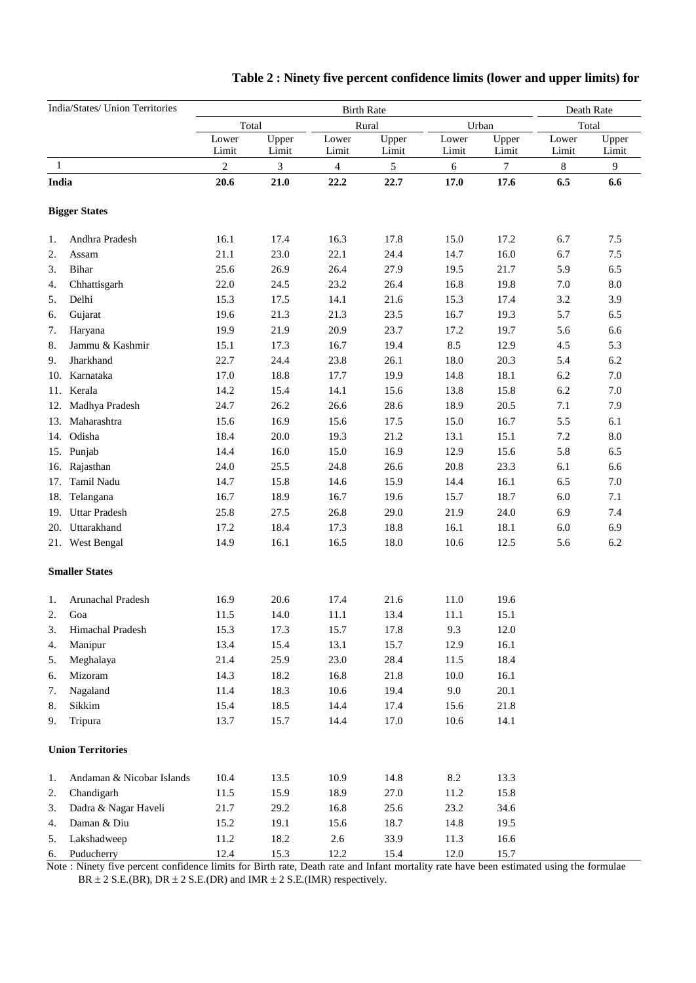| India/States/ Union Territories |                           |                  |                            | Death Rate     |                |                |                |                |                |
|---------------------------------|---------------------------|------------------|----------------------------|----------------|----------------|----------------|----------------|----------------|----------------|
|                                 |                           |                  | <b>Birth Rate</b><br>Total |                |                |                | Urban          | Total          |                |
|                                 |                           | Lower<br>Limit   | Upper<br>Limit             | Lower<br>Limit | Upper<br>Limit | Lower<br>Limit | Upper<br>Limit | Lower<br>Limit | Upper<br>Limit |
| 1                               |                           | $\boldsymbol{2}$ | 3                          | $\overline{4}$ | 5              | 6              | $\tau$         | 8              | 9              |
| India                           |                           | 20.6             | 21.0                       | 22.2           | 22.7           | 17.0           | 17.6           | 6.5            | 6.6            |
|                                 | <b>Bigger States</b>      |                  |                            |                |                |                |                |                |                |
| 1.                              | Andhra Pradesh            | 16.1             | 17.4                       | 16.3           | 17.8           | 15.0           | 17.2           | 6.7            | 7.5            |
| 2.                              | Assam                     | 21.1             | 23.0                       | 22.1           | 24.4           | 14.7           | 16.0           | 6.7            | 7.5            |
| 3.                              | Bihar                     | 25.6             | 26.9                       | 26.4           | 27.9           | 19.5           | 21.7           | 5.9            | 6.5            |
| 4.                              | Chhattisgarh              | 22.0             | 24.5                       | 23.2           | 26.4           | 16.8           | 19.8           | 7.0            | $\rm 8.0$      |
| 5.                              | Delhi                     | 15.3             | 17.5                       | 14.1           | 21.6           | 15.3           | 17.4           | 3.2            | 3.9            |
| 6.                              | Gujarat                   | 19.6             | 21.3                       | 21.3           | 23.5           | 16.7           | 19.3           | 5.7            | 6.5            |
| 7.                              | Haryana                   | 19.9             | 21.9                       | 20.9           | 23.7           | 17.2           | 19.7           | 5.6            | 6.6            |
| 8.                              | Jammu & Kashmir           | 15.1             | 17.3                       | 16.7           | 19.4           | 8.5            | 12.9           | 4.5            | 5.3            |
| 9.                              | Jharkhand                 | 22.7             | 24.4                       | 23.8           | 26.1           | 18.0           | 20.3           | 5.4            | 6.2            |
| 10.                             | Karnataka                 | 17.0             | 18.8                       | 17.7           | 19.9           | 14.8           | 18.1           | 6.2            | $7.0\,$        |
| 11.                             | Kerala                    | 14.2             | 15.4                       | 14.1           | 15.6           | 13.8           | 15.8           | 6.2            | $7.0\,$        |
| 12.                             | Madhya Pradesh            | 24.7             | 26.2                       | 26.6           | 28.6           | 18.9           | 20.5           | 7.1            | 7.9            |
| 13.                             | Maharashtra               | 15.6             | 16.9                       | 15.6           | 17.5           | 15.0           | 16.7           | 5.5            | 6.1            |
|                                 | 14. Odisha                | 18.4             | 20.0                       | 19.3           | 21.2           | 13.1           | 15.1           | 7.2            | $\ \, 8.0$     |
|                                 | 15. Punjab                | 14.4             | 16.0                       | 15.0           | 16.9           | 12.9           | 15.6           | 5.8            | 6.5            |
| 16.                             | Rajasthan                 | 24.0             | 25.5                       | 24.8           | 26.6           | 20.8           | 23.3           | 6.1            | 6.6            |
| 17.                             | Tamil Nadu                | 14.7             | 15.8                       | 14.6           | 15.9           | 14.4           | 16.1           | 6.5            | $7.0\,$        |
| 18.                             | Telangana                 | 16.7             | 18.9                       | 16.7           | 19.6           | 15.7           | 18.7           | 6.0            | 7.1            |
| 19.                             | <b>Uttar Pradesh</b>      | 25.8             | 27.5                       | 26.8           | 29.0           | 21.9           | 24.0           | 6.9            | 7.4            |
|                                 | 20. Uttarakhand           | 17.2             | 18.4                       | 17.3           | 18.8           | 16.1           | 18.1           | 6.0            | 6.9            |
|                                 | 21. West Bengal           | 14.9             | 16.1                       | 16.5           | 18.0           | 10.6           | 12.5           | 5.6            | 6.2            |
|                                 | <b>Smaller States</b>     |                  |                            |                |                |                |                |                |                |
| 1.                              | Arunachal Pradesh         | 16.9             | 20.6                       | 17.4           | 21.6           | 11.0           | 19.6           |                |                |
| 2.                              | Goa                       | 11.5             | 14.0                       | 11.1           | 13.4           | 11.1           | 15.1           |                |                |
| 3.                              | Himachal Pradesh          | 15.3             | 17.3                       | 15.7           | 17.8           | 9.3            | 12.0           |                |                |
| 4.                              | Manipur                   | 13.4             | 15.4                       | 13.1           | 15.7           | 12.9           | 16.1           |                |                |
| 5.                              | Meghalaya                 | 21.4             | 25.9                       | 23.0           | 28.4           | 11.5           | 18.4           |                |                |
| 6.                              | Mizoram                   | 14.3             | 18.2                       | 16.8           | 21.8           | 10.0           | 16.1           |                |                |
| 7.                              | Nagaland                  | 11.4             | 18.3                       | $10.6\,$       | 19.4           | $9.0\,$        | 20.1           |                |                |
| 8.                              | Sikkim                    | 15.4             | 18.5                       | 14.4           | 17.4           | 15.6           | 21.8           |                |                |
| 9.                              | Tripura                   | 13.7             | 15.7                       | 14.4           | 17.0           | $10.6\,$       | 14.1           |                |                |
|                                 | <b>Union Territories</b>  |                  |                            |                |                |                |                |                |                |
| 1.                              | Andaman & Nicobar Islands | 10.4             | 13.5                       | 10.9           | 14.8           | $8.2\,$        | 13.3           |                |                |
| 2.                              | Chandigarh                | 11.5             | 15.9                       | 18.9           | 27.0           | 11.2           | 15.8           |                |                |
| 3.                              | Dadra & Nagar Haveli      | 21.7             | 29.2                       | 16.8           | 25.6           | 23.2           | 34.6           |                |                |
| 4.                              | Daman & Diu               | 15.2             | 19.1                       | 15.6           | 18.7           | 14.8           | 19.5           |                |                |
| 5.                              | Lakshadweep               | 11.2             | 18.2                       | 2.6            | 33.9           | 11.3           | 16.6           |                |                |
| 6.                              | Puducherry                | 12.4             | 15.3                       | 12.2           | 15.4           | 12.0           | 15.7           |                |                |

## **Table 2 : Ninety five percent confidence limits (lower and upper limits) for**

 Note : Ninety five percent confidence limits for Birth rate, Death rate and Infant mortality rate have been estimated using the formulae  $BR \pm 2$  S.E.(BR), DR  $\pm 2$  S.E.(DR) and IMR  $\pm 2$  S.E.(IMR) respectively.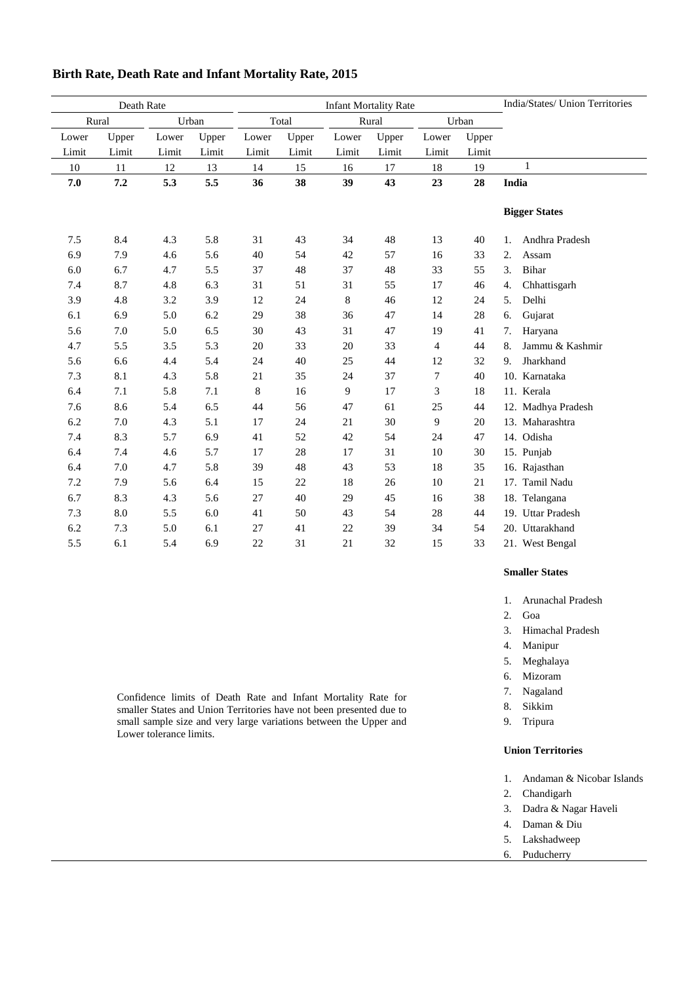| Death Rate |       |       |       |             |        | <b>Infant Mortality Rate</b> | India/States/ Union Territories |       |       |                       |
|------------|-------|-------|-------|-------------|--------|------------------------------|---------------------------------|-------|-------|-----------------------|
| Rural      |       |       | Urban |             | Total  |                              | Rural                           |       | Urban |                       |
| Lower      | Upper | Lower | Upper | Lower       | Upper  | Lower                        | Upper                           | Lower | Upper |                       |
| Limit      | Limit | Limit | Limit | Limit       | Limit  | Limit                        | Limit                           | Limit | Limit |                       |
| 10         | 11    | 12    | 13    | 14          | 15     | 16                           | 17                              | 18    | 19    | $\mathbf{1}$          |
| 7.0        | 7.2   | 5.3   | 5.5   | 36          | 38     | 39                           | 43                              | 23    | 28    | India                 |
|            |       |       |       |             |        |                              |                                 |       |       |                       |
|            |       |       |       |             |        |                              |                                 |       |       | <b>Bigger States</b>  |
|            |       |       |       |             |        |                              |                                 |       |       |                       |
| 7.5        | 8.4   | 4.3   | 5.8   | 31          | 43     | 34                           | 48                              | 13    | 40    | Andhra Pradesh<br>1.  |
| 6.9        | 7.9   | 4.6   | 5.6   | 40          | 54     | 42                           | 57                              | 16    | 33    | 2.<br>Assam           |
| 6.0        | 6.7   | 4.7   | 5.5   | 37          | 48     | 37                           | 48                              | 33    | 55    | Bihar<br>3.           |
| 7.4        | 8.7   | 4.8   | 6.3   | 31          | 51     | 31                           | 55                              | 17    | 46    | Chhattisgarh<br>4.    |
| 3.9        | 4.8   | 3.2   | 3.9   | 12          | 24     | 8                            | 46                              | 12    | 24    | 5.<br>Delhi           |
| 6.1        | 6.9   | 5.0   | 6.2   | 29          | 38     | 36                           | 47                              | 14    | 28    | Gujarat<br>6.         |
| 5.6        | 7.0   | 5.0   | 6.5   | 30          | 43     | 31                           | 47                              | 19    | 41    | 7.<br>Haryana         |
| 4.7        | 5.5   | 3.5   | 5.3   | 20          | 33     | 20                           | 33                              | 4     | 44    | Jammu & Kashmir<br>8. |
| 5.6        | 6.6   | 4.4   | 5.4   | 24          | 40     | 25                           | 44                              | 12    | 32    | Jharkhand<br>9.       |
| 7.3        | 8.1   | 4.3   | 5.8   | 21          | 35     | 24                           | 37                              | 7     | 40    | 10. Karnataka         |
| 6.4        | 7.1   | 5.8   | 7.1   | $\,$ 8 $\,$ | 16     | 9                            | 17                              | 3     | 18    | 11. Kerala            |
| 7.6        | 8.6   | 5.4   | 6.5   | 44          | 56     | 47                           | 61                              | 25    | 44    | 12. Madhya Pradesh    |
| 6.2        | 7.0   | 4.3   | 5.1   | 17          | 24     | 21                           | 30                              | 9     | 20    | 13. Maharashtra       |
| 7.4        | 8.3   | 5.7   | 6.9   | 41          | 52     | 42                           | 54                              | 24    | 47    | 14. Odisha            |
| 6.4        | 7.4   | 4.6   | 5.7   | 17          | 28     | 17                           | 31                              | 10    | 30    | 15. Punjab            |
| 6.4        | 7.0   | 4.7   | 5.8   | 39          | 48     | 43                           | 53                              | 18    | 35    | 16. Rajasthan         |
| 7.2        | 7.9   | 5.6   | 6.4   | 15          | $22\,$ | 18                           | 26                              | 10    | 21    | 17. Tamil Nadu        |
| 6.7        | 8.3   | 4.3   | 5.6   | 27          | 40     | 29                           | 45                              | 16    | 38    | 18. Telangana         |
| 7.3        | 8.0   | 5.5   | 6.0   | 41          | 50     | 43                           | 54                              | 28    | 44    | 19. Uttar Pradesh     |
| 6.2        | 7.3   | 5.0   | 6.1   | 27          | 41     | 22                           | 39                              | 34    | 54    | 20. Uttarakhand       |
| 5.5        | 6.1   | 5.4   | 6.9   | 22          | 31     | 21                           | 32                              | 15    | 33    | 21. West Bengal       |

### **Birth Rate, Death Rate and Infant Mortality Rate, 2015**

**Smaller States**

- 1. Arunachal Pradesh
- 2. Goa
- 3. Himachal Pradesh
- 4. Manipur
- 5. Meghalaya
- 6. Mizoram
- 7. Nagaland
- 8. Sikkim
- 9. Tripura

#### **Union Territories**

- 1. Andaman & Nicobar Islands
- 2. Chandigarh
- 3. Dadra & Nagar Haveli
- 4. Daman & Diu
- 5. Lakshadweep
- 6. Puducherry

Confidence limits of Death Rate and Infant Mortality Rate for smaller States and Union Territories have not been presented due to small sample size and very large variations between the Upper and Lower tolerance limits.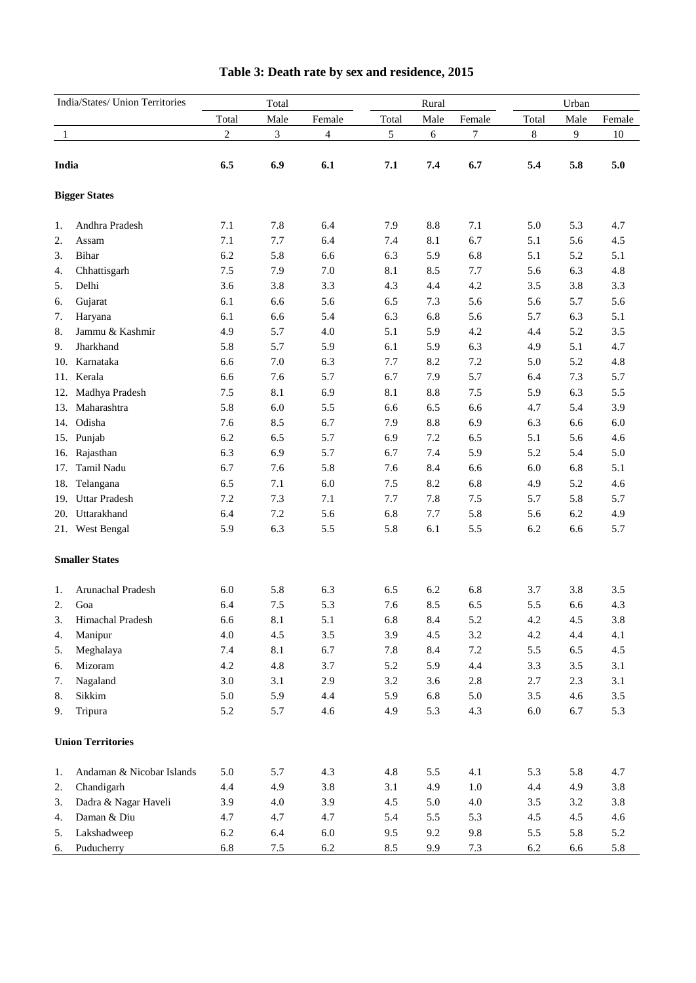| India/States/ Union Territories |                           | Total          |      |                |       | Rural |         | Urban   |       |        |  |
|---------------------------------|---------------------------|----------------|------|----------------|-------|-------|---------|---------|-------|--------|--|
|                                 |                           | Total          | Male | Female         | Total | Male  | Female  | Total   | Male  | Female |  |
| 1                               |                           | $\overline{c}$ | 3    | $\overline{4}$ | 5     | 6     | 7       | $\,8\,$ | 9     | 10     |  |
|                                 |                           |                |      |                |       |       |         |         |       |        |  |
| India                           |                           | 6.5            | 6.9  | 6.1            | 7.1   | 7.4   | 6.7     | 5.4     | 5.8   | 5.0    |  |
|                                 | <b>Bigger States</b>      |                |      |                |       |       |         |         |       |        |  |
| 1.                              | Andhra Pradesh            | 7.1            | 7.8  | 6.4            | 7.9   | 8.8   | 7.1     | 5.0     | 5.3   | 4.7    |  |
| 2.                              | Assam                     | 7.1            | 7.7  | 6.4            | 7.4   | 8.1   | 6.7     | 5.1     | 5.6   | 4.5    |  |
| 3.                              | Bihar                     | 6.2            | 5.8  | 6.6            | 6.3   | 5.9   | 6.8     | 5.1     | 5.2   | 5.1    |  |
| 4.                              | Chhattisgarh              | 7.5            | 7.9  | 7.0            | 8.1   | 8.5   | 7.7     | 5.6     | 6.3   | 4.8    |  |
| 5.                              | Delhi                     | 3.6            | 3.8  | 3.3            | 4.3   | 4.4   | 4.2     | $3.5$   | 3.8   | 3.3    |  |
| 6.                              | Gujarat                   | 6.1            | 6.6  | 5.6            | 6.5   | 7.3   | 5.6     | 5.6     | 5.7   | 5.6    |  |
| 7.                              | Haryana                   | 6.1            | 6.6  | 5.4            | 6.3   | 6.8   | 5.6     | 5.7     | 6.3   | 5.1    |  |
| 8.                              | Jammu & Kashmir           | 4.9            | 5.7  | 4.0            | 5.1   | 5.9   | 4.2     | 4.4     | 5.2   | 3.5    |  |
| 9.                              | Jharkhand                 | 5.8            | 5.7  | 5.9            | 6.1   | 5.9   | 6.3     | 4.9     | 5.1   | 4.7    |  |
| 10.                             | Karnataka                 | 6.6            | 7.0  | 6.3            | 7.7   | 8.2   | 7.2     | 5.0     | 5.2   | 4.8    |  |
| 11.                             | Kerala                    | 6.6            | 7.6  | 5.7            | 6.7   | 7.9   | 5.7     | 6.4     | 7.3   | 5.7    |  |
| 12.                             | Madhya Pradesh            | 7.5            | 8.1  | 6.9            | 8.1   | 8.8   | 7.5     | 5.9     | 6.3   | 5.5    |  |
| 13.                             | Maharashtra               | 5.8            | 6.0  | 5.5            | 6.6   | 6.5   | 6.6     | 4.7     | 5.4   | 3.9    |  |
| 14.                             | Odisha                    | 7.6            | 8.5  | 6.7            | 7.9   | 8.8   | 6.9     | 6.3     | 6.6   | 6.0    |  |
|                                 | 15. Punjab                | 6.2            | 6.5  | 5.7            | 6.9   | 7.2   | 6.5     | 5.1     | 5.6   | 4.6    |  |
| 16.                             | Rajasthan                 | 6.3            | 6.9  | 5.7            | 6.7   | 7.4   | 5.9     | 5.2     | 5.4   | 5.0    |  |
| 17.                             | Tamil Nadu                | 6.7            | 7.6  | 5.8            | 7.6   | 8.4   | 6.6     | 6.0     | 6.8   | 5.1    |  |
| 18.                             | Telangana                 | 6.5            | 7.1  | 6.0            | 7.5   | 8.2   | 6.8     | 4.9     | 5.2   | 4.6    |  |
|                                 | 19. Uttar Pradesh         | 7.2            | 7.3  | 7.1            | 7.7   | 7.8   | 7.5     | 5.7     | 5.8   | 5.7    |  |
|                                 | 20. Uttarakhand           | 6.4            | 7.2  | 5.6            | 6.8   | 7.7   | 5.8     | 5.6     | 6.2   | 4.9    |  |
|                                 | 21. West Bengal           | 5.9            | 6.3  | 5.5            | 5.8   | 6.1   | 5.5     | 6.2     | 6.6   | 5.7    |  |
|                                 | <b>Smaller States</b>     |                |      |                |       |       |         |         |       |        |  |
| 1.                              | Arunachal Pradesh         | 6.0            | 5.8  | 6.3            | 6.5   | 6.2   | 6.8     | 3.7     | 3.8   | 3.5    |  |
| 2.                              | Goa                       | 6.4            | 7.5  | 5.3            | 7.6   | 8.5   | 6.5     | 5.5     | 6.6   | 4.3    |  |
| 3.                              | Himachal Pradesh          | 6.6            | 8.1  | 5.1            | 6.8   | 8.4   | 5.2     | 4.2     | 4.5   | 3.8    |  |
| 4.                              | Manipur                   | 4.0            | 4.5  | $3.5$          | 3.9   | 4.5   | $3.2\,$ | 4.2     | 4.4   | 4.1    |  |
| 5.                              | Meghalaya                 | 7.4            | 8.1  | 6.7            | 7.8   | 8.4   | $7.2\,$ | 5.5     | 6.5   | 4.5    |  |
| 6.                              | Mizoram                   | 4.2            | 4.8  | 3.7            | 5.2   | 5.9   | 4.4     | 3.3     | $3.5$ | 3.1    |  |
| 7.                              | Nagaland                  | $3.0\,$        | 3.1  | 2.9            | 3.2   | 3.6   | $2.8\,$ | $2.7\,$ | 2.3   | 3.1    |  |
| 8.                              | Sikkim                    | 5.0            | 5.9  | 4.4            | 5.9   | 6.8   | 5.0     | 3.5     | 4.6   | $3.5$  |  |
| 9.                              | Tripura                   | 5.2            | 5.7  | 4.6            | 4.9   | 5.3   | 4.3     | 6.0     | 6.7   | 5.3    |  |
|                                 | <b>Union Territories</b>  |                |      |                |       |       |         |         |       |        |  |
| 1.                              | Andaman & Nicobar Islands | 5.0            | 5.7  | 4.3            | 4.8   | 5.5   | 4.1     | 5.3     | 5.8   | 4.7    |  |
| 2.                              | Chandigarh                | 4.4            | 4.9  | $3.8\,$        | 3.1   | 4.9   | $1.0\,$ | 4.4     | 4.9   | 3.8    |  |
| 3.                              | Dadra & Nagar Haveli      | 3.9            | 4.0  | 3.9            | 4.5   | 5.0   | 4.0     | 3.5     | 3.2   | 3.8    |  |
| 4.                              | Daman & Diu               | 4.7            | 4.7  | 4.7            | 5.4   | 5.5   | 5.3     | 4.5     | 4.5   | 4.6    |  |
| 5.                              | Lakshadweep               | 6.2            | 6.4  | $6.0\,$        | 9.5   | 9.2   | 9.8     | 5.5     | 5.8   | 5.2    |  |
| 6.                              | Puducherry                | 6.8            | 7.5  | 6.2            | 8.5   | 9.9   | $7.3$   | 6.2     | 6.6   | 5.8    |  |

## **Table 3: Death rate by sex and residence, 2015**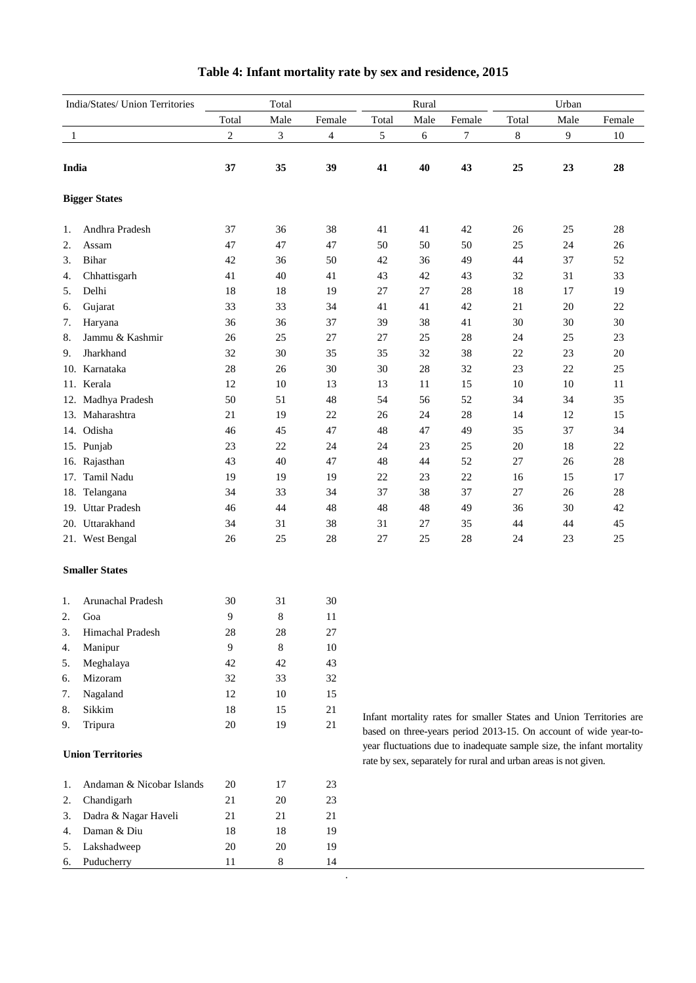| India/States/ Union Territories |                           | Total          |                |                          | Rural |      |                                                                 | Urban |        |                                                                                                                                         |  |
|---------------------------------|---------------------------|----------------|----------------|--------------------------|-------|------|-----------------------------------------------------------------|-------|--------|-----------------------------------------------------------------------------------------------------------------------------------------|--|
|                                 |                           | Total          | Male           | Female                   | Total | Male | Female                                                          | Total | Male   | Female                                                                                                                                  |  |
| 1                               |                           | $\overline{c}$ | $\mathfrak{Z}$ | $\overline{\mathcal{A}}$ | 5     | 6    | 7                                                               | $8\,$ | 9      | $10\,$                                                                                                                                  |  |
| India                           |                           | 37             | 35             | 39                       | 41    | 40   | 43                                                              | 25    | 23     | 28                                                                                                                                      |  |
|                                 |                           |                |                |                          |       |      |                                                                 |       |        |                                                                                                                                         |  |
|                                 | <b>Bigger States</b>      |                |                |                          |       |      |                                                                 |       |        |                                                                                                                                         |  |
| 1.                              | Andhra Pradesh            | 37             | 36             | 38                       | 41    | 41   | 42                                                              | 26    | 25     | 28                                                                                                                                      |  |
| 2.                              | Assam                     | 47             | 47             | 47                       | 50    | 50   | 50                                                              | 25    | 24     | 26                                                                                                                                      |  |
| 3.                              | Bihar                     | 42             | 36             | 50                       | 42    | 36   | 49                                                              | 44    | 37     | 52                                                                                                                                      |  |
| 4.                              | Chhattisgarh              | 41             | 40             | 41                       | 43    | 42   | 43                                                              | 32    | 31     | 33                                                                                                                                      |  |
| 5.                              | Delhi                     | 18             | 18             | 19                       | 27    | 27   | $28\,$                                                          | 18    | 17     | 19                                                                                                                                      |  |
| 6.                              | Gujarat                   | 33             | 33             | 34                       | 41    | 41   | 42                                                              | 21    | $20\,$ | $22\,$                                                                                                                                  |  |
| 7.                              | Haryana                   | 36             | 36             | 37                       | 39    | 38   | 41                                                              | 30    | 30     | 30                                                                                                                                      |  |
| 8.                              | Jammu & Kashmir           | 26             | 25             | 27                       | 27    | 25   | 28                                                              | 24    | 25     | 23                                                                                                                                      |  |
| 9.                              | Jharkhand                 | 32             | 30             | 35                       | 35    | 32   | 38                                                              | 22    | 23     | $20\,$                                                                                                                                  |  |
|                                 | 10. Karnataka             | 28             | 26             | 30                       | 30    | 28   | 32                                                              | 23    | 22     | 25                                                                                                                                      |  |
|                                 | 11. Kerala                | 12             | $10\,$         | 13                       | 13    | 11   | 15                                                              | 10    | 10     | $11\,$                                                                                                                                  |  |
|                                 | 12. Madhya Pradesh        | 50             | 51             | 48                       | 54    | 56   | 52                                                              | 34    | 34     | 35                                                                                                                                      |  |
|                                 | 13. Maharashtra           | 21             | 19             | 22                       | 26    | 24   | 28                                                              | 14    | 12     | 15                                                                                                                                      |  |
|                                 | 14. Odisha                | 46             | 45             | 47                       | 48    | 47   | 49                                                              | 35    | 37     | 34                                                                                                                                      |  |
|                                 | 15. Punjab                | 23             | $22\,$         | 24                       | 24    | 23   | 25                                                              | 20    | 18     | $22\,$                                                                                                                                  |  |
|                                 | 16. Rajasthan             | 43             | 40             | 47                       | 48    | 44   | 52                                                              | 27    | 26     | $28\,$                                                                                                                                  |  |
| 17.                             | Tamil Nadu                | 19             | 19             | 19                       | 22    | 23   | 22                                                              | 16    | 15     | 17                                                                                                                                      |  |
|                                 | 18. Telangana             | 34             | 33             | 34                       | 37    | 38   | 37                                                              | 27    | $26\,$ | 28                                                                                                                                      |  |
|                                 | 19. Uttar Pradesh         | 46             | 44             | 48                       | 48    | 48   | 49                                                              | 36    | 30     | 42                                                                                                                                      |  |
|                                 | 20. Uttarakhand           | 34             | 31             | 38                       | 31    | 27   | 35                                                              | 44    | 44     | 45                                                                                                                                      |  |
|                                 | 21. West Bengal           | 26             | 25             | 28                       | 27    | 25   | 28                                                              | 24    | 23     | $25\,$                                                                                                                                  |  |
|                                 | <b>Smaller States</b>     |                |                |                          |       |      |                                                                 |       |        |                                                                                                                                         |  |
| 1.                              | Arunachal Pradesh         | 30             | 31             | 30                       |       |      |                                                                 |       |        |                                                                                                                                         |  |
| 2.                              | Goa                       | $\overline{9}$ | $\,$ 8 $\,$    | 11                       |       |      |                                                                 |       |        |                                                                                                                                         |  |
| 3.                              | Himachal Pradesh          | 28             | 28             | 27                       |       |      |                                                                 |       |        |                                                                                                                                         |  |
| 4.                              | Manipur                   | 9              | 8              | 10                       |       |      |                                                                 |       |        |                                                                                                                                         |  |
| 5.                              | Meghalaya                 | 42             | 42             | 43                       |       |      |                                                                 |       |        |                                                                                                                                         |  |
| 6.                              | Mizoram                   | 32             | 33             | 32                       |       |      |                                                                 |       |        |                                                                                                                                         |  |
| 7.                              | Nagaland                  | 12             | $10\,$         | 15                       |       |      |                                                                 |       |        |                                                                                                                                         |  |
| 8.                              | Sikkim                    | 18             | 15             | $21\,$                   |       |      |                                                                 |       |        |                                                                                                                                         |  |
| 9.                              | Tripura                   | $20\,$         | 19             | 21                       |       |      |                                                                 |       |        | Infant mortality rates for smaller States and Union Territories are<br>based on three-years period 2013-15. On account of wide year-to- |  |
|                                 |                           |                |                |                          |       |      |                                                                 |       |        | year fluctuations due to inadequate sample size, the infant mortality                                                                   |  |
|                                 | <b>Union Territories</b>  |                |                |                          |       |      | rate by sex, separately for rural and urban areas is not given. |       |        |                                                                                                                                         |  |
| 1.                              | Andaman & Nicobar Islands | 20             | 17             | 23                       |       |      |                                                                 |       |        |                                                                                                                                         |  |
| 2.                              | Chandigarh                | 21             | $20\,$         | 23                       |       |      |                                                                 |       |        |                                                                                                                                         |  |
| 3.                              | Dadra & Nagar Haveli      | 21             | 21             | 21                       |       |      |                                                                 |       |        |                                                                                                                                         |  |
| 4.                              | Daman & Diu               | 18             | 18             | 19                       |       |      |                                                                 |       |        |                                                                                                                                         |  |
| 5.                              | Lakshadweep               | 20             | $20\,$         | 19                       |       |      |                                                                 |       |        |                                                                                                                                         |  |
| 6.                              | Puducherry                | 11             | 8              | 14                       |       |      |                                                                 |       |        |                                                                                                                                         |  |

## **Table 4: Infant mortality rate by sex and residence, 2015**